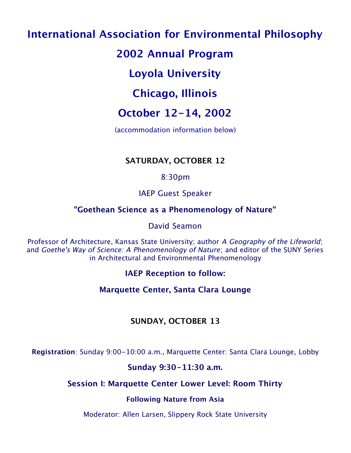# **International Association for Environmental Philosophy**

# **2002 Annual Program**

# **Loyola University**

# **Chicago, Illinois**

# **October 12-14, 2002**

(accommodation information below)

# **SATURDAY, OCTOBER 12**

# 8:30pm

# IAEP Guest Speaker

# **"Goethean Science as a Phenomenology of Nature"**

# David Seamon

Professor of Architecture, Kansas State University; author A Geography of the Lifeworld; and Goethe's Way of Science: A Phenomenology of Nature; and editor of the SUNY Series in Architectural and Environmental Phenomenology

# **IAEP Reception to follow:**

# **Marquette Center, Santa Clara Lounge**

# **SUNDAY, OCTOBER 13**

**Registration**: Sunday 9:00-10:00 a.m., Marquette Center: Santa Clara Lounge, Lobby

## **Sunday 9:30-11:30 a.m.**

# **Session I: Marquette Center Lower Level: Room Thirty**

## **Following Nature from Asia**

Moderator: Allen Larsen, Slippery Rock State University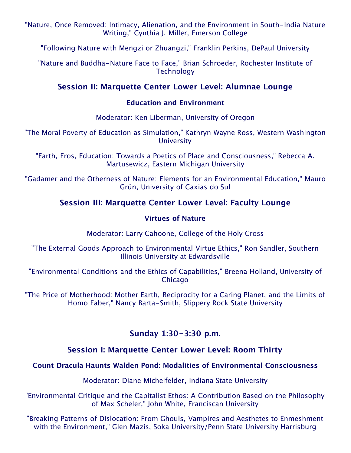"Nature, Once Removed: Intimacy, Alienation, and the Environment in South-India Nature Writing," Cynthia J. Miller, Emerson College

"Following Nature with Mengzi or Zhuangzi," Franklin Perkins, DePaul University

"Nature and Buddha-Nature Face to Face," Brian Schroeder, Rochester Institute of **Technology** 

### **Session II: Marquette Center Lower Level: Alumnae Lounge**

#### **Education and Environment**

Moderator: Ken Liberman, University of Oregon

"The Moral Poverty of Education as Simulation," Kathryn Wayne Ross, Western Washington **University** 

"Earth, Eros, Education: Towards a Poetics of Place and Consciousness," Rebecca A. Martusewicz, Eastern Michigan University

"Gadamer and the Otherness of Nature: Elements for an Environmental Education," Mauro Grün, University of Caxias do Sul

## **Session III: Marquette Center Lower Level: Faculty Lounge**

#### **Virtues of Nature**

Moderator: Larry Cahoone, College of the Holy Cross

"The External Goods Approach to Environmental Virtue Ethics," Ron Sandler, Southern Illinois University at Edwardsville

"Environmental Conditions and the Ethics of Capabilities," Breena Holland, University of **Chicago** 

"The Price of Motherhood: Mother Earth, Reciprocity for a Caring Planet, and the Limits of Homo Faber," Nancy Barta-Smith, Slippery Rock State University

### **Sunday 1:30-3:30 p.m.**

### **Session I: Marquette Center Lower Level: Room Thirty**

#### **Count Dracula Haunts Walden Pond: Modalities of Environmental Consciousness**

Moderator: Diane Michelfelder, Indiana State University

"Environmental Critique and the Capitalist Ethos: A Contribution Based on the Philosophy of Max Scheler," John White, Franciscan University

"Breaking Patterns of Dislocation: From Ghouls, Vampires and Aesthetes to Enmeshment with the Environment," Glen Mazis, Soka University/Penn State University Harrisburg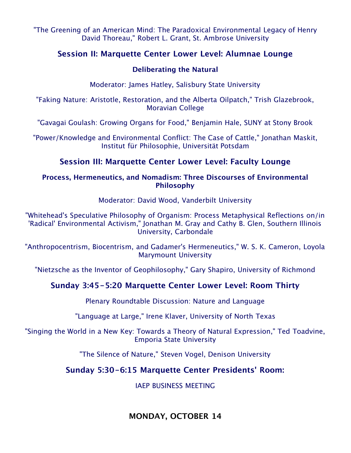"The Greening of an American Mind: The Paradoxical Environmental Legacy of Henry David Thoreau," Robert L. Grant, St. Ambrose University

### **Session II: Marquette Center Lower Level: Alumnae Lounge**

#### **Deliberating the Natural**

Moderator: James Hatley, Salisbury State University

"Faking Nature: Aristotle, Restoration, and the Alberta Oilpatch," Trish Glazebrook, Moravian College

"Gavagai Goulash: Growing Organs for Food," Benjamin Hale, SUNY at Stony Brook

"Power/Knowledge and Environmental Conflict: The Case of Cattle," Jonathan Maskit, Institut für Philosophie, Universität Potsdam

### **Session III: Marquette Center Lower Level: Faculty Lounge**

#### **Process, Hermeneutics, and Nomadism: Three Discourses of Environmental Philosophy**

Moderator: David Wood, Vanderbilt University

"Whitehead's Speculative Philosophy of Organism: Process Metaphysical Reflections on/in 'Radical' Environmental Activism," Jonathan M. Gray and Cathy B. Glen, Southern Illinois University, Carbondale

"Anthropocentrism, Biocentrism, and Gadamer's Hermeneutics," W. S. K. Cameron, Loyola Marymount University

"Nietzsche as the Inventor of Geophilosophy," Gary Shapiro, University of Richmond

### **Sunday 3:45-5:20 Marquette Center Lower Level: Room Thirty**

Plenary Roundtable Discussion: Nature and Language

"Language at Large," Irene Klaver, University of North Texas

"Singing the World in a New Key: Towards a Theory of Natural Expression," Ted Toadvine, Emporia State University

"The Silence of Nature," Steven Vogel, Denison University

### **Sunday 5:30-6:15 Marquette Center Presidents' Room:**

IAEP BUSINESS MEETING

**MONDAY, OCTOBER 14**